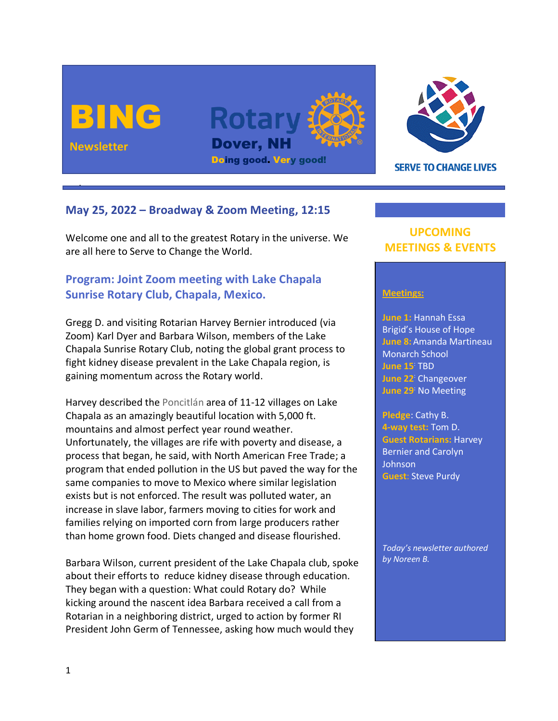





**SERVE TO CHANGE LIVES** 

## **May 25, 2022 – Broadway & Zoom Meeting, 12:15**

Welcome one and all to the greatest Rotary in the universe. We are all here to Serve to Change the World.

# **Program: Joint Zoom meeting with Lake Chapala Sunrise Rotary Club, Chapala, Mexico.**

Gregg D. and visiting Rotarian Harvey Bernier introduced (via Zoom) Karl Dyer and Barbara Wilson, members of the Lake Chapala Sunrise Rotary Club, noting the global grant process to fight kidney disease prevalent in the Lake Chapala region, is gaining momentum across the Rotary world.

Harvey described the Poncitlán area of 11-12 villages on Lake Chapala as an amazingly beautiful location with 5,000 ft. mountains and almost perfect year round weather. Unfortunately, the villages are rife with poverty and disease, a process that began, he said, with North American Free Trade; a program that ended pollution in the US but paved the way for the same companies to move to Mexico where similar legislation exists but is not enforced. The result was polluted water, an increase in slave labor, farmers moving to cities for work and families relying on imported corn from large producers rather than home grown food. Diets changed and disease flourished.

Barbara Wilson, current president of the Lake Chapala club, spoke about their efforts to reduce kidney disease through education. They began with a question: What could Rotary do? While kicking around the nascent idea Barbara received a call from a Rotarian in a neighboring district, urged to action by former RI President John Germ of Tennessee, asking how much would they

## **UPCOMING MEETINGS & EVENTS**

#### **Meetings:**

**June 1:** Hannah Essa Brigid's House of Hope **June 8:** Amanda Martineau Monarch School **June 15**: TBD **June 22**: Changeover **June 29**: No Meeting

**Pledge**: Cathy B. **4-way test:** Tom D. **Guest Rotarians:** Harvey Bernier and Carolyn Johnson **Guest**: Steve Purdy

*Today's newsletter authored by Noreen B.*